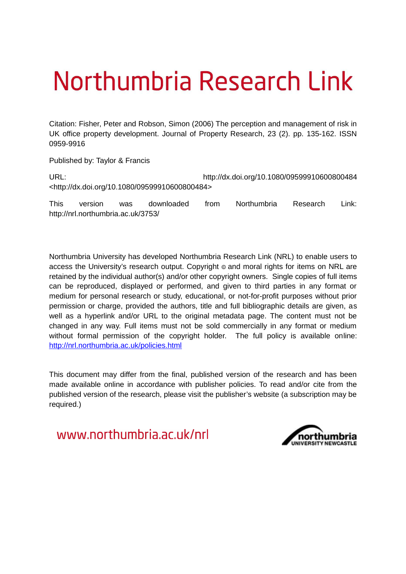# Northumbria Research Link

Citation: Fisher, Peter and Robson, Simon (2006) The perception and management of risk in UK office property development. Journal of Property Research, 23 (2). pp. 135-162. ISSN 0959-9916

Published by: Taylor & Francis

URL: http://dx.doi.org/10.1080/09599910600800484 <http://dx.doi.org/10.1080/09599910600800484>

This version was downloaded from Northumbria Research Link: http://nrl.northumbria.ac.uk/3753/

Northumbria University has developed Northumbria Research Link (NRL) to enable users to access the University's research output. Copyright  $\circ$  and moral rights for items on NRL are retained by the individual author(s) and/or other copyright owners. Single copies of full items can be reproduced, displayed or performed, and given to third parties in any format or medium for personal research or study, educational, or not-for-profit purposes without prior permission or charge, provided the authors, title and full bibliographic details are given, as well as a hyperlink and/or URL to the original metadata page. The content must not be changed in any way. Full items must not be sold commercially in any format or medium without formal permission of the copyright holder. The full policy is available online: <http://nrl.northumbria.ac.uk/policies.html>

This document may differ from the final, published version of the research and has been made available online in accordance with publisher policies. To read and/or cite from the published version of the research, please visit the publisher's website (a subscription may be required.)

www.northumbria.ac.uk/nrl

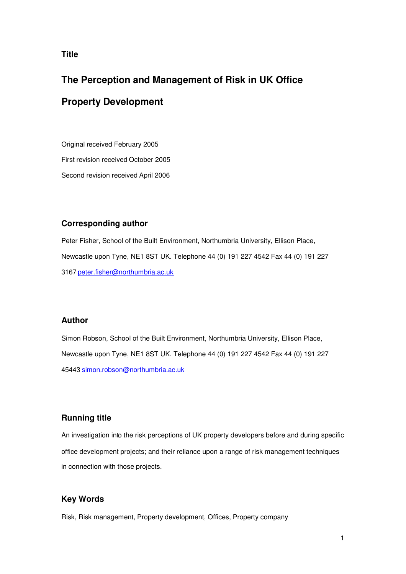#### **Title**

# **The Perception and Management of Risk in UK Office Property Development**

Original received February 2005 First revision received October 2005 Second revision received April 2006

#### **Corresponding author**

Peter Fisher, School of the Built Environment, Northumbria University, Ellison Place, Newcastle upon Tyne, NE1 8ST UK. Telephone 44 (0) 191 227 4542 Fax 44 (0) 191 227 3167 [peter.fisher@northumbria.ac.uk](mailto:peter.fisher@northumbria.ac.uk)

#### **Author**

Simon Robson, School of the Built Environment, Northumbria University, Ellison Place, Newcastle upon Tyne, NE1 8ST UK. Telephone 44 (0) 191 227 4542 Fax 44 (0) 191 227 45443 [simon.robson@northumbria.ac.uk](mailto:simon.robson@northumbria.ac.uk)

## **Running title**

An investigation into the risk perceptions of UK property developers before and during specific office development projects; and their reliance upon a range of risk management techniques in connection with those projects.

## **Key Words**

Risk, Risk management, Property development, Offices, Property company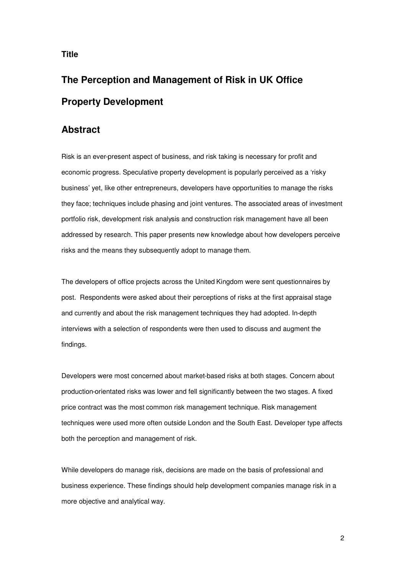# **The Perception and Management of Risk in UK Office Property Development**

# **Abstract**

Risk is an ever-present aspect of business, and risk taking is necessary for profit and economic progress. Speculative property development is popularly perceived as a 'risky business' yet, like other entrepreneurs, developers have opportunities to manage the risks they face; techniques include phasing and joint ventures. The associated areas of investment portfolio risk, development risk analysis and construction risk management have all been addressed by research. This paper presents new knowledge about how developers perceive risks and the means they subsequently adopt to manage them.

The developers of office projects across the United Kingdom were sent questionnaires by post. Respondents were asked about their perceptions of risks at the first appraisal stage and currently and about the risk management techniques they had adopted. In-depth interviews with a selection of respondents were then used to discuss and augment the findings.

Developers were most concerned about market-based risks at both stages. Concern about production-orientated risks was lower and fell significantly between the two stages. A fixed price contract was the most common risk management technique. Risk management techniques were used more often outside London and the South East. Developer type affects both the perception and management of risk.

While developers do manage risk, decisions are made on the basis of professional and business experience. These findings should help development companies manage risk in a more objective and analytical way.

**Title**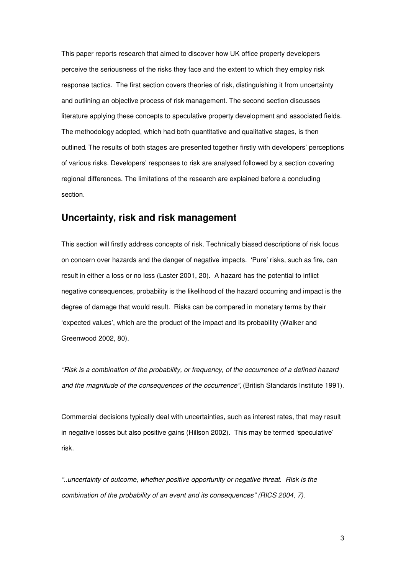This paper reports research that aimed to discover how UK office property developers perceive the seriousness of the risks they face and the extent to which they employ risk response tactics. The first section covers theories of risk, distinguishing it from uncertainty and outlining an objective process of risk management. The second section discusses literature applying these concepts to speculative property development and associated fields. The methodology adopted, which had both quantitative and qualitative stages, is then outlined. The results of both stages are presented together firstly with developers' perceptions of various risks. Developers' responses to risk are analysed followed by a section covering regional differences. The limitations of the research are explained before a concluding section.

## **Uncertainty, risk and risk management**

This section will firstly address concepts of risk. Technically biased descriptions of risk focus on concern over hazards and the danger of negative impacts. 'Pure' risks, such as fire, can result in either a loss or no loss (Laster 2001, 20). A hazard has the potential to inflict negative consequences, probability is the likelihood of the hazard occurring and impact is the degree of damage that would result. Risks can be compared in monetary terms by their 'expected values', which are the product of the impact and its probability (Walker and Greenwood 2002, 80).

*"Risk is a combination of the probability, or frequency, of the occurrence of a defined hazard and the magnitude of the consequences of the occurrence",* (British Standards Institute 1991).

Commercial decisions typically deal with uncertainties, such as interest rates, that may result in negative losses but also positive gains (Hillson 2002). This may be termed 'speculative' risk.

<span id="page-3-0"></span>*"..uncertainty of outcome, whether positive opportunity or negative threat. Risk is the combination of the probability of an event and its consequences" (RICS 2004, 7).*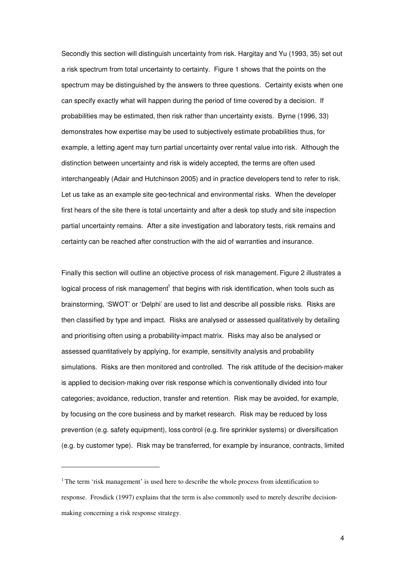Secondly this section will distinguish uncertainty from risk. Hargitay and Yu (1993, 35) set out a risk spectrum from total uncertainty to certainty. Figure 1 shows that the points on the spectrum may be distinguished by the answers to three questions. Certainty exists when one can specify exactly what will happen during the period of time covered by a decision. If probabilities may be estimated, then risk rather than uncertainty exists. Byrne (1996, 33) demonstrates how expertise may be used to subjectively estimate probabilities thus, for example, a letting agent may turn partial uncertainty over rental value into risk. Although the distinction between uncertainty and risk is widely accepted, the terms are often used interchangeably (Adair and Hutchinson 2005) and in practice developers tend to refer to risk. Let us take as an example site geo-technical and environmental risks. When the developer first hears of the site there is total uncertainty and after a desk top study and site inspection partial uncertainty remains. After a site investigation and laboratory tests, risk remains and certainty can be reached after construction with the aid of warranties and insurance.

Finally this section will outline an objective process of risk management. Figure 2 illustrates a logical process of risk management<sup>[1](#page-3-0)</sup> that begins with risk identification, when tools such as brainstorming, 'SWOT' or 'Delphi' are used to list and describe all possible risks. Risks are then classified by type and impact. Risks are analysed or assessed qualitatively by detailing and prioritising often using a probability-impact matrix. Risks may also be analysed or assessed quantitatively by applying, for example, sensitivity analysis and probability simulations. Risks are then monitored and controlled. The risk attitude of the decision-maker is applied to decision-making over risk response which is conventionally divided into four categories; avoidance, reduction, transfer and retention. Risk may be avoided, for example, by focusing on the core business and by market research. Risk may be reduced by loss prevention (e.g. safety equipment), loss control (e.g. fire sprinkler systems) or diversification (e.g. by customer type). Risk may be transferred, for example by insurance, contracts, limited

<sup>&</sup>lt;sup>1</sup> The term 'risk management' is used here to describe the whole process from identification to response. Frosdick (1997) explains that the term is also commonly used to merely describe decisionmaking concerning a risk response strategy.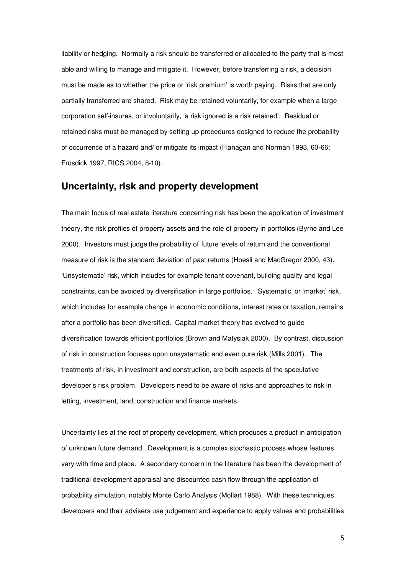liability or hedging. Normally a risk should be transferred or allocated to the party that is most able and willing to manage and mitigate it. However, before transferring a risk, a decision must be made as to whether the price or 'risk premium' is worth paying. Risks that are only partially transferred are shared. Risk may be retained voluntarily, for example when a large corporation self-insures, or involuntarily, 'a risk ignored is a risk retained'. Residual or retained risks must be managed by setting up procedures designed to reduce the probability of occurrence of a hazard and/ or mitigate its impact (Flanagan and Norman 1993, 60-66; Frosdick 1997, RICS 2004, 8-10).

## **Uncertainty, risk and property development**

The main focus of real estate literature concerning risk has been the application of investment theory, the risk profiles of property assets and the role of property in portfolios (Byrne and Lee 2000). Investors must judge the probability of future levels of return and the conventional measure of risk is the standard deviation of past returns (Hoesli and MacGregor 2000, 43). 'Unsystematic' risk, which includes for example tenant covenant, building quality and legal constraints, can be avoided by diversification in large portfolios. 'Systematic' or 'market' risk, which includes for example change in economic conditions, interest rates or taxation, remains after a portfolio has been diversified. Capital market theory has evolved to guide diversification towards efficient portfolios (Brown and Matysiak 2000). By contrast, discussion of risk in construction focuses upon unsystematic and even pure risk (Mills 2001). The treatments of risk, in investment and construction, are both aspects of the speculative developer's risk problem. Developers need to be aware of risks and approaches to risk in letting, investment, land, construction and finance markets.

<span id="page-5-0"></span>Uncertainty lies at the root of property development, which produces a product in anticipation of unknown future demand. Development is a complex stochastic process whose features vary with time and place. A secondary concern in the literature has been the development of traditional development appraisal and discounted cash flow through the application of probability simulation, notably Monte Carlo Analysis (Mollart 1988). With these techniques developers and their advisers use judgement and experience to apply values and probabilities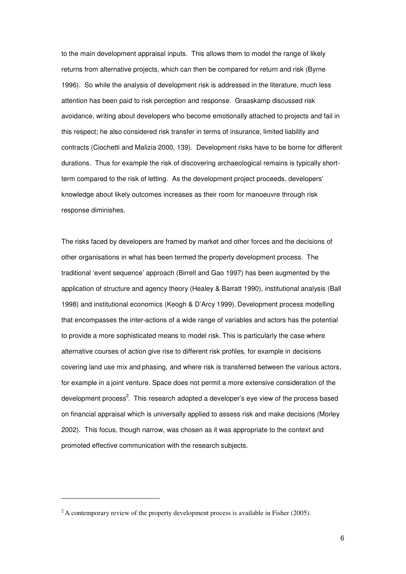to the main development appraisal inputs. This allows them to model the range of likely returns from alternative projects, which can then be compared for return and risk (Byrne 1996). So while the analysis of development risk is addressed in the literature, much less attention has been paid to risk perception and response. Graaskamp discussed risk avoidance, writing about developers who become emotionally attached to projects and fail in this respect; he also considered risk transfer in terms of insurance, limited liability and contracts (Ciochetti and Malizia 2000, 139). Development risks have to be borne for different durations. Thus for example the risk of discovering archaeological remains is typically shortterm compared to the risk of letting. As the development project proceeds, developers' knowledge about likely outcomes increases as their room for manoeuvre through risk response diminishes.

The risks faced by developers are framed by market and other forces and the decisions of other organisations in what has been termed the property development process. The traditional 'event sequence' approach (Birrell and Gao 1997) has been augmented by the application of structure and agency theory (Healey & Barratt 1990), institutional analysis (Ball 1998) and institutional economics (Keogh & D'Arcy 1999). Development process modelling that encompasses the inter-actions of a wide range of variables and actors has the potential to provide a more sophisticated means to model risk. This is particularly the case where alternative courses of action give rise to different risk profiles, for example in decisions covering land use mix and phasing, and where risk is transferred between the various actors, for example in a joint venture. Space does not permit a more extensive consideration of the development process<sup>[2](#page-5-0)</sup>. This research adopted a developer's eye view of the process based on financial appraisal which is universally applied to assess risk and make decisions (Morley 2002). This focus, though narrow, was chosen as it was appropriate to the context and promoted effective communication with the research subjects.

<span id="page-6-2"></span><span id="page-6-1"></span><span id="page-6-0"></span> $^{2}$  A contemporary review of the property development process is available in Fisher (2005).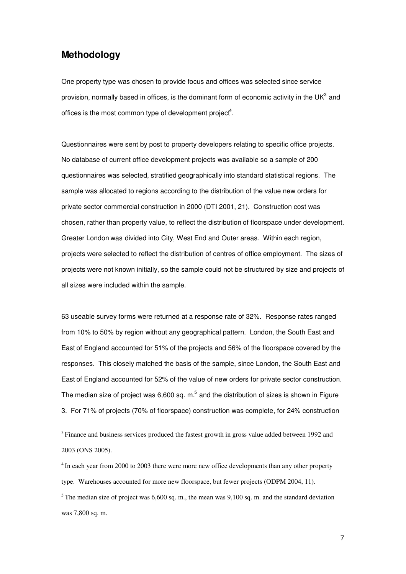# **Methodology**

One property type was chosen to provide focus and offices was selected since service provision, normally based in offices, is the dominant form of economic activity in the UK $^3$  $^3$  and offices is the most common type of development project $4$ .

Questionnaires were sent by post to property developers relating to specific office projects. No database of current office development projects was available so a sample of 200 questionnaires was selected, stratified geographically into standard statistical regions. The sample was allocated to regions according to the distribution of the value new orders for private sector commercial construction in 2000 (DTI 2001, 21). Construction cost was chosen, rather than property value, to reflect the distribution of floorspace under development. Greater London was divided into City, West End and Outer areas. Within each region, projects were selected to reflect the distribution of centres of office employment. The sizes of projects were not known initially, so the sample could not be structured by size and projects of all sizes were included within the sample.

63 useable survey forms were returned at a response rate of 32%. Response rates ranged from 10% to 50% by region without any geographical pattern. London, the South East and East of England accounted for 51% of the projects and 56% of the floorspace covered by the responses. This closely matched the basis of the sample, since London, the South East and East of England accounted for 52% of the value of new orders for private sector construction. The median size of project was 6,600 sq. m. $^5$  $^5$  and the distribution of sizes is shown in Figure 3. For 71% of projects (70% of floorspace) construction was complete, for 24% construction

<sup>&</sup>lt;sup>3</sup> Finance and business services produced the fastest growth in gross value added between 1992 and 2003 (ONS 2005).

<sup>&</sup>lt;sup>4</sup> In each year from 2000 to 2003 there were more new office developments than any other property type. Warehouses accounted for more new floorspace, but fewer projects (ODPM 2004, 11).

<sup>&</sup>lt;sup>5</sup> The median size of project was 6,600 sq. m., the mean was 9,100 sq. m. and the standard deviation was 7,800 sq. m.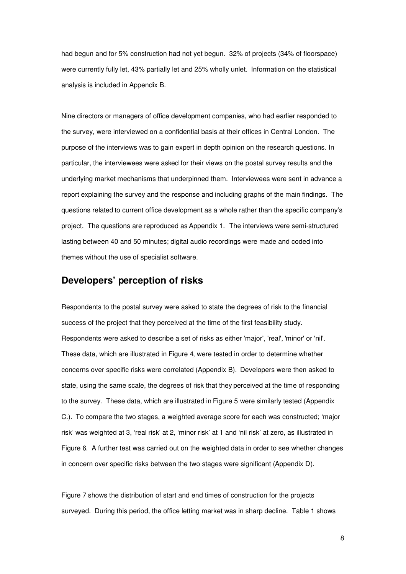had begun and for 5% construction had not yet begun. 32% of projects (34% of floorspace) were currently fully let, 43% partially let and 25% wholly unlet. Information on the statistical analysis is included in Appendix B.

Nine directors or managers of office development companies, who had earlier responded to the survey, were interviewed on a confidential basis at their offices in Central London. The purpose of the interviews was to gain expert in depth opinion on the research questions. In particular, the interviewees were asked for their views on the postal survey results and the underlying market mechanisms that underpinned them. Interviewees were sent in advance a report explaining the survey and the response and including graphs of the main findings. The questions related to current office development as a whole rather than the specific company's project. The questions are reproduced as Appendix 1. The interviews were semi-structured lasting between 40 and 50 minutes; digital audio recordings were made and coded into themes without the use of specialist software.

# **Developers' perception of risks**

<span id="page-8-0"></span>Respondents to the postal survey were asked to state the degrees of risk to the financial success of the project that they perceived at the time of the first feasibility study. Respondents were asked to describe a set of risks as either 'major', 'real', 'minor' or 'nil'. These data, which are illustrated in Figure 4, were tested in order to determine whether concerns over specific risks were correlated (Appendix B). Developers were then asked to state, using the same scale, the degrees of risk that they perceived at the time of responding to the survey. These data, which are illustrated in Figure 5 were similarly tested (Appendix C.). To compare the two stages, a weighted average score for each was constructed; 'major risk' was weighted at 3, 'real risk' at 2, 'minor risk' at 1 and 'nil risk' at zero, as illustrated in Figure 6. A further test was carried out on the weighted data in order to see whether changes in concern over specific risks between the two stages were significant (Appendix D).

<span id="page-8-1"></span>Figure 7 shows the distribution of start and end times of construction for the projects surveyed. During this period, the office letting market was in sharp decline. Table 1 shows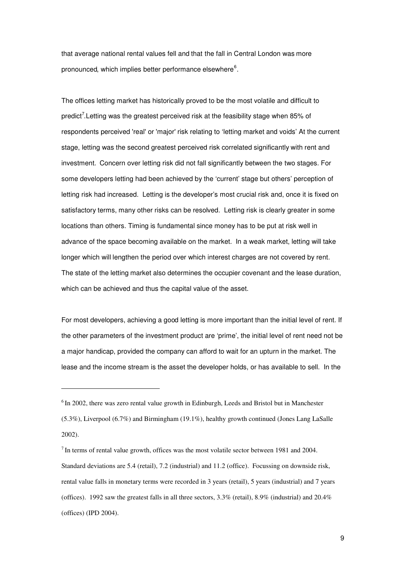that average national rental values fell and that the fall in Central London was more pronounced, which implies better performance elsewhere $^6$  $^6$ .

The offices letting market has historically proved to be the most volatile and difficult to predict<sup>7</sup>[.L](#page-8-1)etting was the greatest perceived risk at the feasibility stage when 85% of respondents perceived 'real' or 'major' risk relating to 'letting market and voids' At the current stage, letting was the second greatest perceived risk correlated significantly with rent and investment. Concern over letting risk did not fall significantly between the two stages. For some developers letting had been achieved by the 'current' stage but others' perception of letting risk had increased. Letting is the developer's most crucial risk and, once it is fixed on satisfactory terms, many other risks can be resolved. Letting risk is clearly greater in some locations than others. Timing is fundamental since money has to be put at risk well in advance of the space becoming available on the market. In a weak market, letting will take longer which will lengthen the period over which interest charges are not covered by rent. The state of the letting market also determines the occupier covenant and the lease duration, which can be achieved and thus the capital value of the asset.

For most developers, achieving a good letting is more important than the initial level of rent. If the other parameters of the investment product are 'prime', the initial level of rent need not be a major handicap, provided the company can afford to wait for an upturn in the market. The lease and the income stream is the asset the developer holds, or has available to sell. In the

<sup>&</sup>lt;sup>6</sup> In 2002, there was zero rental value growth in Edinburgh, Leeds and Bristol but in Manchester (5.3%), Liverpool (6.7%) and Birmingham (19.1%), healthy growth continued (Jones Lang LaSalle 2002).

 $7$  In terms of rental value growth, offices was the most volatile sector between 1981 and 2004. Standard deviations are 5.4 (retail), 7.2 (industrial) and 11.2 (office). Focussing on downside risk, rental value falls in monetary terms were recorded in 3 years (retail), 5 years (industrial) and 7 years (offices). 1992 saw the greatest falls in all three sectors, 3.3% (retail), 8.9% (industrial) and 20.4% (offices) (IPD 2004).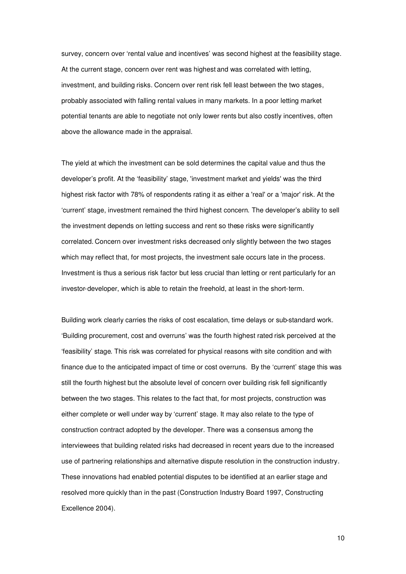survey, concern over 'rental value and incentives' was second highest at the feasibility stage. At the current stage, concern over rent was highest and was correlated with letting, investment, and building risks. Concern over rent risk fell least between the two stages, probably associated with falling rental values in many markets. In a poor letting market potential tenants are able to negotiate not only lower rents but also costly incentives, often above the allowance made in the appraisal.

The yield at which the investment can be sold determines the capital value and thus the developer's profit. At the 'feasibility' stage, 'investment market and yields' was the third highest risk factor with 78% of respondents rating it as either a 'real' or a 'major' risk. At the 'current' stage, investment remained the third highest concern. The developer's ability to sell the investment depends on letting success and rent so these risks were significantly correlated. Concern over investment risks decreased only slightly between the two stages which may reflect that, for most projects, the investment sale occurs late in the process. Investment is thus a serious risk factor but less crucial than letting or rent particularly for an investor-developer, which is able to retain the freehold, at least in the short-term.

<span id="page-10-0"></span>Building work clearly carries the risks of cost escalation, time delays or sub-standard work. 'Building procurement, cost and overruns' was the fourth highest rated risk perceived at the 'feasibility' stage. This risk was correlated for physical reasons with site condition and with finance due to the anticipated impact of time or cost overruns. By the 'current' stage this was still the fourth highest but the absolute level of concern over building risk fell significantly between the two stages. This relates to the fact that, for most projects, construction was either complete or well under way by 'current' stage. It may also relate to the type of construction contract adopted by the developer. There was a consensus among the interviewees that building related risks had decreased in recent years due to the increased use of partnering relationships and alternative dispute resolution in the construction industry. These innovations had enabled potential disputes to be identified at an earlier stage and resolved more quickly than in the past (Construction Industry Board 1997, Constructing Excellence 2004).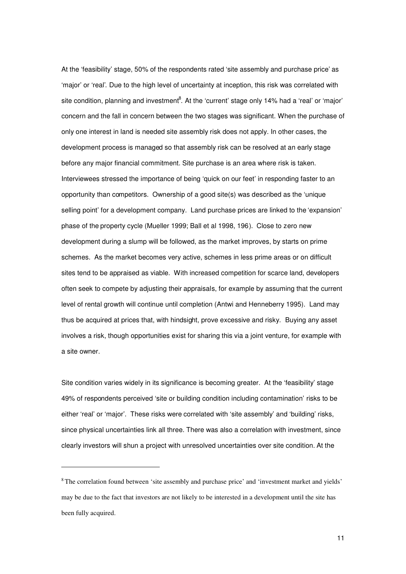At the 'feasibility' stage, 50% of the respondents rated 'site assembly and purchase price' as 'major' or 'real'. Due to the high level of uncertainty at inception, this risk was correlated with site condition, planning and investment $^8$ [.](#page-10-0) At the 'current' stage only 14% had a 'real' or 'major' concern and the fall in concern between the two stages was significant. When the purchase of only one interest in land is needed site assembly risk does not apply. In other cases, the development process is managed so that assembly risk can be resolved at an early stage before any major financial commitment. Site purchase is an area where risk is taken. Interviewees stressed the importance of being 'quick on our feet' in responding faster to an opportunity than competitors. Ownership of a good site(s) was described as the 'unique selling point' for a development company. Land purchase prices are linked to the 'expansion' phase of the property cycle (Mueller 1999; Ball et al 1998, 196). Close to zero new development during a slump will be followed, as the market improves, by starts on prime schemes. As the market becomes very active, schemes in less prime areas or on difficult sites tend to be appraised as viable. With increased competition for scarce land, developers often seek to compete by adjusting their appraisals, for example by assuming that the current level of rental growth will continue until completion (Antwi and Henneberry 1995). Land may thus be acquired at prices that, with hindsight, prove excessive and risky. Buying any asset involves a risk, though opportunities exist for sharing this via a joint venture, for example with a site owner.

Site condition varies widely in its significance is becoming greater. At the 'feasibility' stage 49% of respondents perceived 'site or building condition including contamination' risks to be either 'real' or 'major'. These risks were correlated with 'site assembly' and 'building' risks, since physical uncertainties link all three. There was also a correlation with investment, since clearly investors will shun a project with unresolved uncertainties over site condition. At the

<sup>&</sup>lt;sup>8</sup> The correlation found between 'site assembly and purchase price' and 'investment market and yields' may be due to the fact that investors are not likely to be interested in a development until the site has been fully acquired.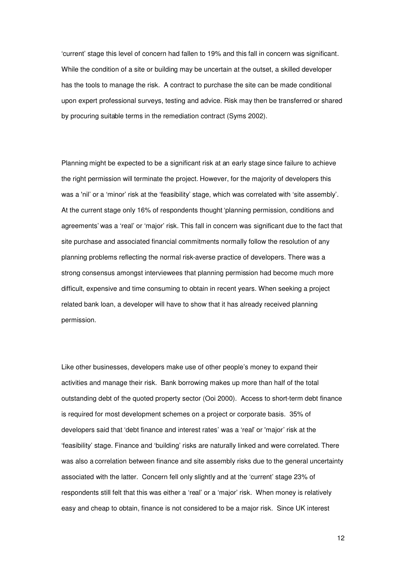'current' stage this level of concern had fallen to 19% and this fall in concern was significant. While the condition of a site or building may be uncertain at the outset, a skilled developer has the tools to manage the risk. A contract to purchase the site can be made conditional upon expert professional surveys, testing and advice. Risk may then be transferred or shared by procuring suitable terms in the remediation contract (Syms 2002).

Planning might be expected to be a significant risk at an early stage since failure to achieve the right permission will terminate the project. However, for the majority of developers this was a 'nil' or a 'minor' risk at the 'feasibility' stage, which was correlated with 'site assembly'. At the current stage only 16% of respondents thought 'planning permission, conditions and agreements' was a 'real' or 'major' risk. This fall in concern was significant due to the fact that site purchase and associated financial commitments normally follow the resolution of any planning problems reflecting the normal risk-averse practice of developers. There was a strong consensus amongst interviewees that planning permission had become much more difficult, expensive and time consuming to obtain in recent years. When seeking a project related bank loan, a developer will have to show that it has already received planning permission.

Like other businesses, developers make use of other people's money to expand their activities and manage their risk. Bank borrowing makes up more than half of the total outstanding debt of the quoted property sector (Ooi 2000). Access to short-term debt finance is required for most development schemes on a project or corporate basis. 35% of developers said that 'debt finance and interest rates' was a 'real' or 'major' risk at the 'feasibility' stage. Finance and 'building' risks are naturally linked and were correlated. There was also a correlation between finance and site assembly risks due to the general uncertainty associated with the latter. Concern fell only slightly and at the 'current' stage 23% of respondents still felt that this was either a 'real' or a 'major' risk. When money is relatively easy and cheap to obtain, finance is not considered to be a major risk. Since UK interest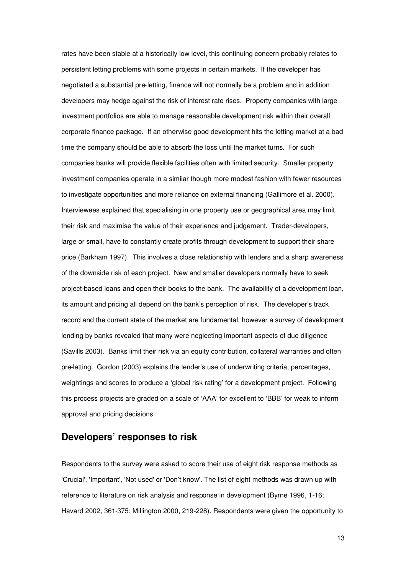rates have been stable at a historically low level, this continuing concern probably relates to persistent letting problems with some projects in certain markets. If the developer has negotiated a substantial pre-letting, finance will not normally be a problem and in addition developers may hedge against the risk of interest rate rises. Property companies with large investment portfolios are able to manage reasonable development risk within their overall corporate finance package. If an otherwise good development hits the letting market at a bad time the company should be able to absorb the loss until the market turns. For such companies banks will provide flexible facilities often with limited security. Smaller property investment companies operate in a similar though more modest fashion with fewer resources to investigate opportunities and more reliance on external financing (Gallimore et al. 2000). Interviewees explained that specialising in one property use or geographical area may limit their risk and maximise the value of their experience and judgement. Trader-developers, large or small, have to constantly create profits through development to support their share price (Barkham 1997). This involves a close relationship with lenders and a sharp awareness of the downside risk of each project. New and smaller developers normally have to seek project-based loans and open their books to the bank. The availability of a development loan, its amount and pricing all depend on the bank's perception of risk. The developer's track record and the current state of the market are fundamental, however a survey of development lending by banks revealed that many were neglecting important aspects of due diligence (Savills 2003). Banks limit their risk via an equity contribution, collateral warranties and often pre-letting. Gordon (2003) explains the lender's use of underwriting criteria, percentages, weightings and scores to produce a 'global risk rating' for a development project. Following this process projects are graded on a scale of 'AAA' for excellent to 'BBB' for weak to inform approval and pricing decisions.

# **Developers' responses to risk**

Respondents to the survey were asked to score their use of eight risk response methods as 'Crucial', 'Important', 'Not used' or 'Don't know'. The list of eight methods was drawn up with reference to literature on risk analysis and response in development (Byrne 1996, 1-16; Havard 2002, 361-375; Millington 2000, 219-228). Respondents were given the opportunity to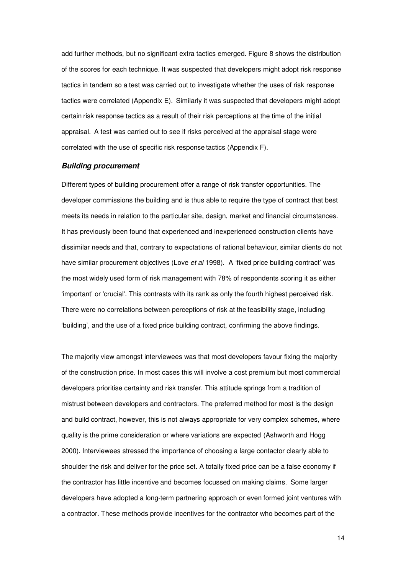add further methods, but no significant extra tactics emerged. Figure 8 shows the distribution of the scores for each technique. It was suspected that developers might adopt risk response tactics in tandem so a test was carried out to investigate whether the uses of risk response tactics were correlated (Appendix E). Similarly it was suspected that developers might adopt certain risk response tactics as a result of their risk perceptions at the time of the initial appraisal. A test was carried out to see if risks perceived at the appraisal stage were correlated with the use of specific risk response tactics (Appendix F).

#### *Building procurement*

Different types of building procurement offer a range of risk transfer opportunities. The developer commissions the building and is thus able to require the type of contract that best meets its needs in relation to the particular site, design, market and financial circumstances. It has previously been found that experienced and inexperienced construction clients have dissimilar needs and that, contrary to expectations of rational behaviour, similar clients do not have similar procurement objectives (Love *et al* 1998). A 'fixed price building contract' was the most widely used form of risk management with 78% of respondents scoring it as either 'important' or 'crucial'. This contrasts with its rank as only the fourth highest perceived risk. There were no correlations between perceptions of risk at the feasibility stage, including 'building', and the use of a fixed price building contract, confirming the above findings.

The majority view amongst interviewees was that most developers favour fixing the majority of the construction price. In most cases this will involve a cost premium but most commercial developers prioritise certainty and risk transfer. This attitude springs from a tradition of mistrust between developers and contractors. The preferred method for most is the design and build contract, however, this is not always appropriate for very complex schemes, where quality is the prime consideration or where variations are expected (Ashworth and Hogg 2000). Interviewees stressed the importance of choosing a large contactor clearly able to shoulder the risk and deliver for the price set. A totally fixed price can be a false economy if the contractor has little incentive and becomes focussed on making claims. Some larger developers have adopted a long-term partnering approach or even formed joint ventures with a contractor. These methods provide incentives for the contractor who becomes part of the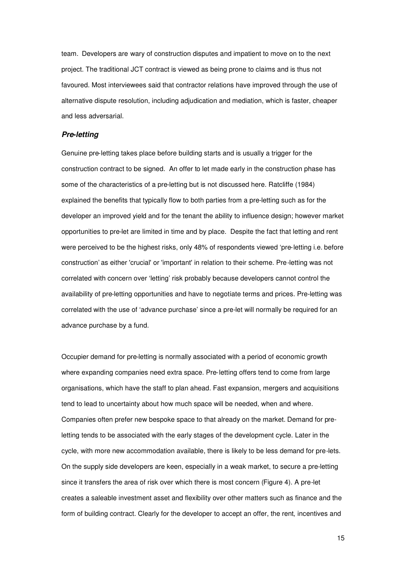team. Developers are wary of construction disputes and impatient to move on to the next project. The traditional JCT contract is viewed as being prone to claims and is thus not favoured. Most interviewees said that contractor relations have improved through the use of alternative dispute resolution, including adjudication and mediation, which is faster, cheaper and less adversarial.

#### *Pre-letting*

Genuine pre-letting takes place before building starts and is usually a trigger for the construction contract to be signed. An offer to let made early in the construction phase has some of the characteristics of a pre-letting but is not discussed here. Ratcliffe (1984) explained the benefits that typically flow to both parties from a pre-letting such as for the developer an improved yield and for the tenant the ability to influence design; however market opportunities to pre-let are limited in time and by place. Despite the fact that letting and rent were perceived to be the highest risks, only 48% of respondents viewed 'pre-letting i.e. before construction' as either 'crucial' or 'important' in relation to their scheme. Pre-letting was not correlated with concern over 'letting' risk probably because developers cannot control the availability of pre-letting opportunities and have to negotiate terms and prices. Pre-letting was correlated with the use of 'advance purchase' since a pre-let will normally be required for an advance purchase by a fund.

Occupier demand for pre-letting is normally associated with a period of economic growth where expanding companies need extra space. Pre-letting offers tend to come from large organisations, which have the staff to plan ahead. Fast expansion, mergers and acquisitions tend to lead to uncertainty about how much space will be needed, when and where. Companies often prefer new bespoke space to that already on the market. Demand for preletting tends to be associated with the early stages of the development cycle. Later in the cycle, with more new accommodation available, there is likely to be less demand for pre-lets. On the supply side developers are keen, especially in a weak market, to secure a pre-letting since it transfers the area of risk over which there is most concern (Figure 4). A pre-let creates a saleable investment asset and flexibility over other matters such as finance and the form of building contract. Clearly for the developer to accept an offer, the rent, incentives and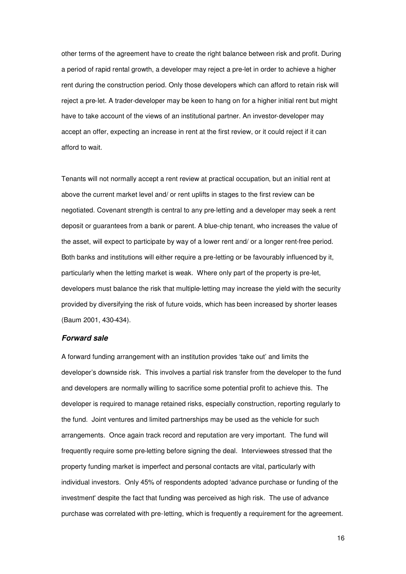other terms of the agreement have to create the right balance between risk and profit. During a period of rapid rental growth, a developer may reject a pre-let in order to achieve a higher rent during the construction period. Only those developers which can afford to retain risk will reject a pre-let. A trader-developer may be keen to hang on for a higher initial rent but might have to take account of the views of an institutional partner. An investor-developer may accept an offer, expecting an increase in rent at the first review, or it could reject if it can afford to wait.

Tenants will not normally accept a rent review at practical occupation, but an initial rent at above the current market level and/ or rent uplifts in stages to the first review can be negotiated. Covenant strength is central to any pre-letting and a developer may seek a rent deposit or guarantees from a bank or parent. A blue-chip tenant, who increases the value of the asset, will expect to participate by way of a lower rent and/ or a longer rent-free period. Both banks and institutions will either require a pre-letting or be favourably influenced by it, particularly when the letting market is weak. Where only part of the property is pre-let, developers must balance the risk that multiple-letting may increase the yield with the security provided by diversifying the risk of future voids, which has been increased by shorter leases (Baum 2001, 430-434).

#### *Forward sale*

A forward funding arrangement with an institution provides 'take out' and limits the developer's downside risk. This involves a partial risk transfer from the developer to the fund and developers are normally willing to sacrifice some potential profit to achieve this. The developer is required to manage retained risks, especially construction, reporting regularly to the fund. Joint ventures and limited partnerships may be used as the vehicle for such arrangements. Once again track record and reputation are very important. The fund will frequently require some pre-letting before signing the deal. Interviewees stressed that the property funding market is imperfect and personal contacts are vital, particularly with individual investors. Only 45% of respondents adopted 'advance purchase or funding of the investment' despite the fact that funding was perceived as high risk. The use of advance purchase was correlated with pre-letting, which is frequently a requirement for the agreement.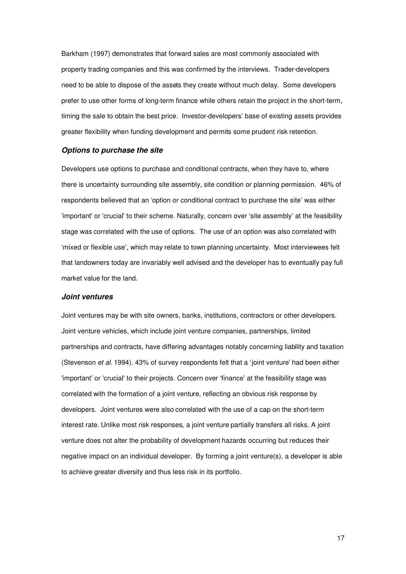Barkham (1997) demonstrates that forward sales are most commonly associated with property trading companies and this was confirmed by the interviews. Trader-developers need to be able to dispose of the assets they create without much delay. Some developers prefer to use other forms of long-term finance while others retain the project in the short-term, timing the sale to obtain the best price. Investor-developers' base of existing assets provides greater flexibility when funding development and permits some prudent risk retention.

#### *Options to purchase the site*

Developers use options to purchase and conditional contracts, when they have to, where there is uncertainty surrounding site assembly, site condition or planning permission. 46% of respondents believed that an 'option or conditional contract to purchase the site' was either 'important' or 'crucial' to their scheme. Naturally, concern over 'site assembly' at the feasibility stage was correlated with the use of options. The use of an option was also correlated with 'mixed or flexible use', which may relate to town planning uncertainty. Most interviewees felt that landowners today are invariably well advised and the developer has to eventually pay full market value for the land.

#### *Joint ventures*

Joint ventures may be with site owners, banks, institutions, contractors or other developers. Joint venture vehicles, which include joint venture companies, partnerships, limited partnerships and contracts, have differing advantages notably concerning liability and taxation (Stevenson *et al.* 1994). 43% of survey respondents felt that a 'joint venture' had been either 'important' or 'crucial' to their projects. Concern over 'finance' at the feasibility stage was correlated with the formation of a joint venture, reflecting an obvious risk response by developers. Joint ventures were also correlated with the use of a cap on the short-term interest rate. Unlike most risk responses, a joint venture partially transfers all risks. A joint venture does not alter the probability of development hazards occurring but reduces their negative impact on an individual developer. By forming a joint venture(s), a developer is able to achieve greater diversity and thus less risk in its portfolio.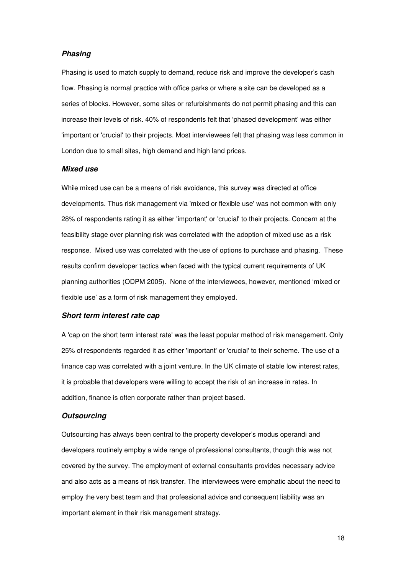#### *Phasing*

Phasing is used to match supply to demand, reduce risk and improve the developer's cash flow. Phasing is normal practice with office parks or where a site can be developed as a series of blocks. However, some sites or refurbishments do not permit phasing and this can increase their levels of risk. 40% of respondents felt that 'phased development' was either 'important or 'crucial' to their projects. Most interviewees felt that phasing was less common in London due to small sites, high demand and high land prices.

#### *Mixed use*

While mixed use can be a means of risk avoidance, this survey was directed at office developments. Thus risk management via 'mixed or flexible use' was not common with only 28% of respondents rating it as either 'important' or 'crucial' to their projects. Concern at the feasibility stage over planning risk was correlated with the adoption of mixed use as a risk response. Mixed use was correlated with the use of options to purchase and phasing. These results confirm developer tactics when faced with the typical current requirements of UK planning authorities (ODPM 2005). None of the interviewees, however, mentioned 'mixed or flexible use' as a form of risk management they employed.

#### *Short term interest rate cap*

A 'cap on the short term interest rate' was the least popular method of risk management. Only 25% of respondents regarded it as either 'important' or 'crucial' to their scheme. The use of a finance cap was correlated with a joint venture. In the UK climate of stable low interest rates, it is probable that developers were willing to accept the risk of an increase in rates. In addition, finance is often corporate rather than project based.

#### *Outsourcing*

<span id="page-18-1"></span><span id="page-18-0"></span>Outsourcing has always been central to the property developer's modus operandi and developers routinely employ a wide range of professional consultants, though this was not covered by the survey. The employment of external consultants provides necessary advice and also acts as a means of risk transfer. The interviewees were emphatic about the need to employ the very best team and that professional advice and consequent liability was an important element in their risk management strategy.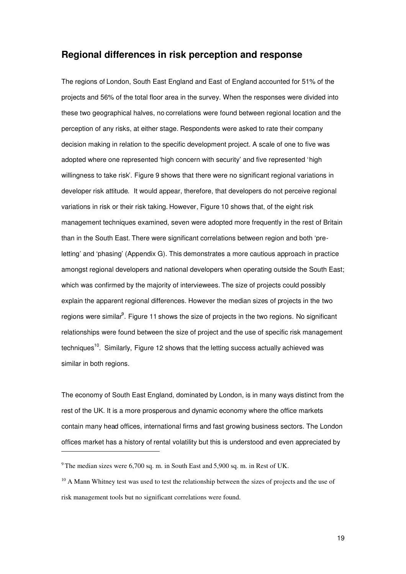## **Regional differences in risk perception and response**

The regions of London, South East England and East of England accounted for 51% of the projects and 56% of the total floor area in the survey. When the responses were divided into these two geographical halves, no correlations were found between regional location and the perception of any risks, at either stage. Respondents were asked to rate their company decision making in relation to the specific development project. A scale of one to five was adopted where one represented 'high concern with security' and five represented 'high willingness to take risk'. Figure 9 shows that there were no significant regional variations in developer risk attitude. It would appear, therefore, that developers do not perceive regional variations in risk or their risk taking. However, Figure 10 shows that, of the eight risk management techniques examined, seven were adopted more frequently in the rest of Britain than in the South East. There were significant correlations between region and both 'preletting' and 'phasing' (Appendix G). This demonstrates a more cautious approach in practice amongst regional developers and national developers when operating outside the South East; which was confirmed by the majority of interviewees. The size of projects could possibly explain the apparent regional differences. However the median sizes of projects in the two regions were similar<sup>[9](#page-18-0)</sup>. Figure 11 shows the size of projects in the two regions. No significant relationships were found between the size of project and the use of specific risk management techniques<sup>[10](#page-18-1)</sup>. Similarly, Figure 12 shows that the letting success actually achieved was similar in both regions.

The economy of South East England, dominated by London, is in many ways distinct from the rest of the UK. It is a more prosperous and dynamic economy where the office markets contain many head offices, international firms and fast growing business sectors. The London offices market has a history of rental volatility but this is understood and even appreciated by

 $9$  The median sizes were 6,700 sq. m. in South East and 5,900 sq. m. in Rest of UK.

<span id="page-19-0"></span> $10$  A Mann Whitney test was used to test the relationship between the sizes of projects and the use of risk management tools but no significant correlations were found.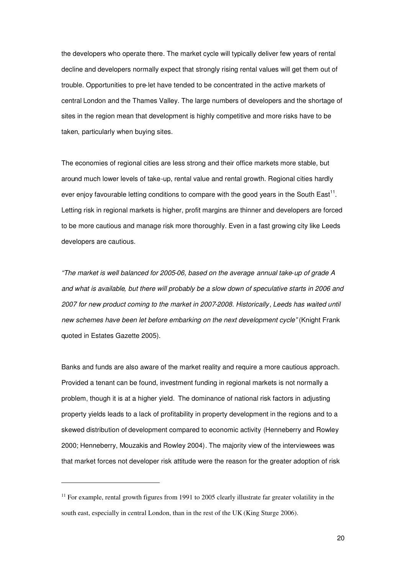the developers who operate there. The market cycle will typically deliver few years of rental decline and developers normally expect that strongly rising rental values will get them out of trouble. Opportunities to pre-let have tended to be concentrated in the active markets of central London and the Thames Valley. The large numbers of developers and the shortage of sites in the region mean that development is highly competitive and more risks have to be taken, particularly when buying sites.

The economies of regional cities are less strong and their office markets more stable, but around much lower levels of take-up, rental value and rental growth. Regional cities hardly ever enjoy favourable letting conditions to compare with the good years in the South East<sup>[11](#page-19-0)</sup>. Letting risk in regional markets is higher, profit margins are thinner and developers are forced to be more cautious and manage risk more thoroughly. Even in a fast growing city like Leeds developers are cautious.

*"The market is well balanced for 2005-06, based on the average annual take-up of grade A and what is available, but there will probably be a slow down of speculative starts in 2006 and 2007 for new product coming to the market in 2007-2008. Historically, Leeds has waited until new schemes have been let before embarking on the next development cycle"* (Knight Frank quoted in Estates Gazette 2005).

Banks and funds are also aware of the market reality and require a more cautious approach. Provided a tenant can be found, investment funding in regional markets is not normally a problem, though it is at a higher yield. The dominance of national risk factors in adjusting property yields leads to a lack of profitability in property development in the regions and to a skewed distribution of development compared to economic activity (Henneberry and Rowley 2000; Henneberry, Mouzakis and Rowley 2004). The majority view of the interviewees was that market forces not developer risk attitude were the reason for the greater adoption of risk

 $11$  For example, rental growth figures from 1991 to 2005 clearly illustrate far greater volatility in the south east, especially in central London, than in the rest of the UK (King Sturge 2006).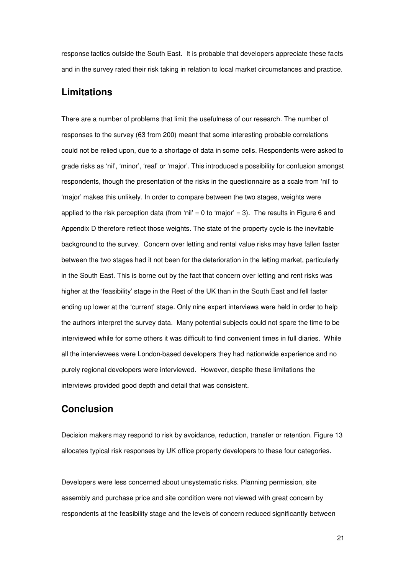response tactics outside the South East. It is probable that developers appreciate these facts and in the survey rated their risk taking in relation to local market circumstances and practice.

# **Limitations**

There are a number of problems that limit the usefulness of our research. The number of responses to the survey (63 from 200) meant that some interesting probable correlations could not be relied upon, due to a shortage of data in some cells. Respondents were asked to grade risks as 'nil', 'minor', 'real' or 'major'. This introduced a possibility for confusion amongst respondents, though the presentation of the risks in the questionnaire as a scale from 'nil' to 'major' makes this unlikely. In order to compare between the two stages, weights were applied to the risk perception data (from 'nil' = 0 to 'major' = 3). The results in Figure 6 and Appendix D therefore reflect those weights. The state of the property cycle is the inevitable background to the survey. Concern over letting and rental value risks may have fallen faster between the two stages had it not been for the deterioration in the letting market, particularly in the South East. This is borne out by the fact that concern over letting and rent risks was higher at the 'feasibility' stage in the Rest of the UK than in the South East and fell faster ending up lower at the 'current' stage. Only nine expert interviews were held in order to help the authors interpret the survey data. Many potential subjects could not spare the time to be interviewed while for some others it was difficult to find convenient times in full diaries. While all the interviewees were London-based developers they had nationwide experience and no purely regional developers were interviewed. However, despite these limitations the interviews provided good depth and detail that was consistent.

# **Conclusion**

Decision makers may respond to risk by avoidance, reduction, transfer or retention. Figure 13 allocates typical risk responses by UK office property developers to these four categories.

Developers were less concerned about unsystematic risks. Planning permission, site assembly and purchase price and site condition were not viewed with great concern by respondents at the feasibility stage and the levels of concern reduced significantly between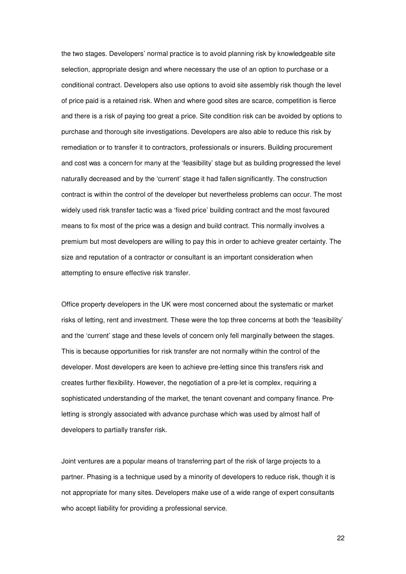the two stages. Developers' normal practice is to avoid planning risk by knowledgeable site selection, appropriate design and where necessary the use of an option to purchase or a conditional contract. Developers also use options to avoid site assembly risk though the level of price paid is a retained risk. When and where good sites are scarce, competition is fierce and there is a risk of paying too great a price. Site condition risk can be avoided by options to purchase and thorough site investigations. Developers are also able to reduce this risk by remediation or to transfer it to contractors, professionals or insurers. Building procurement and cost was a concern for many at the 'feasibility' stage but as building progressed the level naturally decreased and by the 'current' stage it had fallen significantly. The construction contract is within the control of the developer but nevertheless problems can occur. The most widely used risk transfer tactic was a 'fixed price' building contract and the most favoured means to fix most of the price was a design and build contract. This normally involves a premium but most developers are willing to pay this in order to achieve greater certainty. The size and reputation of a contractor or consultant is an important consideration when attempting to ensure effective risk transfer.

Office property developers in the UK were most concerned about the systematic or market risks of letting, rent and investment. These were the top three concerns at both the 'feasibility' and the 'current' stage and these levels of concern only fell marginally between the stages. This is because opportunities for risk transfer are not normally within the control of the developer. Most developers are keen to achieve pre-letting since this transfers risk and creates further flexibility. However, the negotiation of a pre-let is complex, requiring a sophisticated understanding of the market, the tenant covenant and company finance. Preletting is strongly associated with advance purchase which was used by almost half of developers to partially transfer risk.

Joint ventures are a popular means of transferring part of the risk of large projects to a partner. Phasing is a technique used by a minority of developers to reduce risk, though it is not appropriate for many sites. Developers make use of a wide range of expert consultants who accept liability for providing a professional service.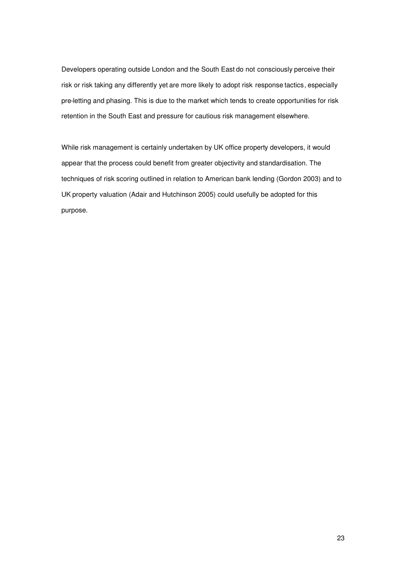Developers operating outside London and the South East do not consciously perceive their risk or risk taking any differently yet are more likely to adopt risk response tactics, especially pre-letting and phasing. This is due to the market which tends to create opportunities for risk retention in the South East and pressure for cautious risk management elsewhere.

While risk management is certainly undertaken by UK office property developers, it would appear that the process could benefit from greater objectivity and standardisation. The techniques of risk scoring outlined in relation to American bank lending (Gordon 2003) and to UK property valuation (Adair and Hutchinson 2005) could usefully be adopted for this purpose.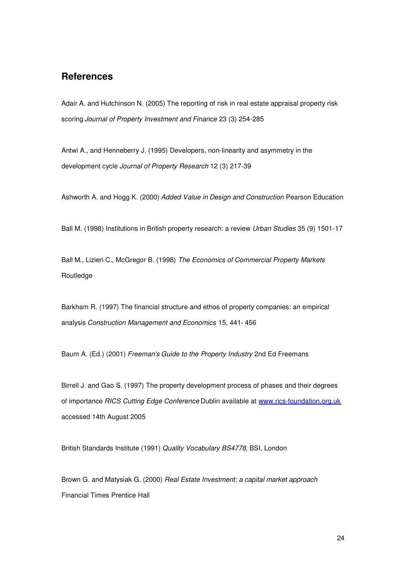# **References**

Adair A. and Hutchinson N. (2005) The reporting of risk in real estate appraisal property risk scoring *Journal of Property Investment and Finance* 23 (3) 254-285

Antwi A., and Henneberry J. (1995) Developers, non-linearity and asymmetry in the development cycle *Journal of Property Research* 12 (3) 217-39

Ashworth A. and Hogg K. (2000) *Added Value in Design and Construction* Pearson Education

Ball M. (1998) Institutions in British property research: a review *Urban Studies* 35 (9) 1501-17

Ball M., Lizieri C., McGregor B. (1998) *The Economics of Commercial Property Markets* Routledge

Barkham R. (1997) The financial structure and ethos of property companies: an empirical analysis *Construction Management and Economics* 15, 441- 456

Baum A. (Ed.) (2001) *Freeman's Guide to the Property Industry* 2nd Ed Freemans

Birrell J. and Gao S. (1997) The property development process of phases and their degrees of importance *RICS Cutting Edge Conference* Dublin available at [www.rics-foundation.org.uk](http://www.rics-foundation.org.uk/) accessed 14th August 2005

British Standards Institute (1991) *Quality Vocabulary BS4778*, BSI, London

Brown G. and Matysiak G. (2000) *Real Estate Investment: a capital market approach* Financial Times Prentice Hall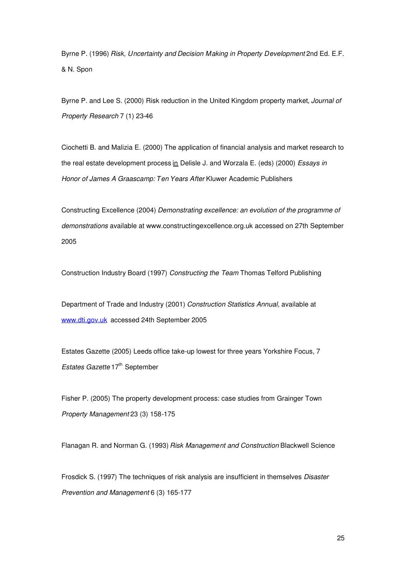Byrne P. (1996) *Risk, Uncertainty and Decision Making in Property Development* 2nd Ed. E.F. & N. Spon

Byrne P. and Lee S. (2000) Risk reduction in the United Kingdom property market, *Journal of Property Research* 7 (1) 23-46

Ciochetti B. and Malizia E. (2000) The application of financial analysis and market research to the real estate development process in Delisle J. and Worzala E. (eds) (2000) *Essays in Honor of James A Graascamp: Ten Years After* Kluwer Academic Publishers

Constructing Excellence (2004) *Demonstrating excellence: an evolution of the programme of demonstrations* available at www.constructingexcellence.org.uk accessed on 27th September 2005

Construction Industry Board (1997) *Constructing the Team* Thomas Telford Publishing

Department of Trade and Industry (2001) *Construction Statistics Annual*, available at [www.dti.gov.uk](http://www.dti.gov.uk/) accessed 24th September 2005

Estates Gazette (2005) Leeds office take-up lowest for three years Yorkshire Focus, 7 *Estates Gazette* 17<sup>th</sup> September

Fisher P. (2005) The property development process: case studies from Grainger Town *Property Management* 23 (3) 158-175

Flanagan R. and Norman G. (1993) *Risk Management and Construction* Blackwell Science

Frosdick S. (1997) The techniques of risk analysis are insufficient in themselves *Disaster Prevention and Management* 6 (3) 165-177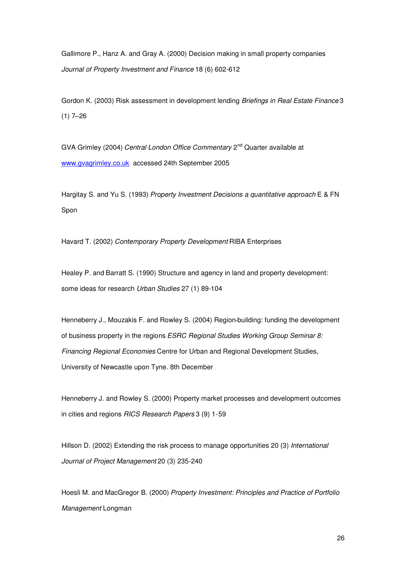Gallimore P., Hanz A. and Gray A. (2000) Decision making in small property companies *Journal of Property Investment and Finance* 18 (6) 602-612

Gordon K. (2003) Risk assessment in development lending *Briefings in Real Estate Finance* 3  $(1)$  7–26

GVA Grimley (2004) *Central London Office Commentary* 2<sup>nd</sup> Quarter available at [www.gvagrimley.co.uk](http://www.gvagrimley.co.uk/) accessed 24th September 2005

Hargitay S. and Yu S. (1993) *Property Investment Decisions a quantitative approach* E & FN Spon

Havard T. (2002) *Contemporary Property Development* RIBA Enterprises

Healey P. and Barratt S. (1990) Structure and agency in land and property development: some ideas for research *Urban Studies* 27 (1) 89-104

Henneberry J., Mouzakis F. and Rowley S. (2004) Region-building: funding the development of business property in the regions *ESRC Regional Studies Working Group Seminar 8: Financing Regional Economies* Centre for Urban and Regional Development Studies, University of Newcastle upon Tyne. 8th December

Henneberry J. and Rowley S. (2000) Property market processes and development outcomes in cities and regions *RICS Research Papers* 3 (9) 1-59

Hillson D. (2002) Extending the risk process to manage opportunities 20 (3) *International Journal of Project Management* 20 (3) 235-240

Hoesli M. and MacGregor B. (2000) *Property Investment: Principles and Practice of Portfolio Management* Longman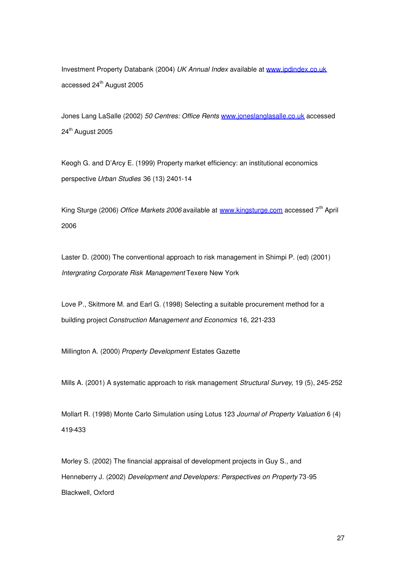Investment Property Databank (2004) *UK Annual Index* available at [www.ipdindex.co.uk](http://www.ipdindex.co.uk/) accessed 24<sup>th</sup> August 2005

Jones Lang LaSalle (2002) *50 Centres: Office Rents* [www.joneslanglasalle.co.uk](http://www.joneslanglasalle.co.uk/) accessed 24<sup>th</sup> August 2005

Keogh G. and D'Arcy E. (1999) Property market efficiency: an institutional economics perspective *Urban Studies* 36 (13) 2401-14

King Sturge (2006) *Office Markets 2006* available at [www.kingsturge.com](http://www.kingsturge.com/) accessed 7<sup>th</sup> April 2006

Laster D. (2000) The conventional approach to risk management in Shimpi P. (ed) (2001) *Intergrating Corporate Risk Management* Texere New York

Love P., Skitmore M. and Earl G. (1998) Selecting a suitable procurement method for a building project *Construction Management and Economics* 16, 221-233

Millington A. (2000) *Property Development* Estates Gazette

Mills A. (2001) A systematic approach to risk management *Structural Survey*, 19 (5), 245-252

Mollart R. (1998) Monte Carlo Simulation using Lotus 123 *Journal of Property Valuation* 6 (4) 419-433

Morley S. (2002) The financial appraisal of development projects in Guy S., and Henneberry J. (2002) *Development and Developers: Perspectives on Property* 73-95 Blackwell, Oxford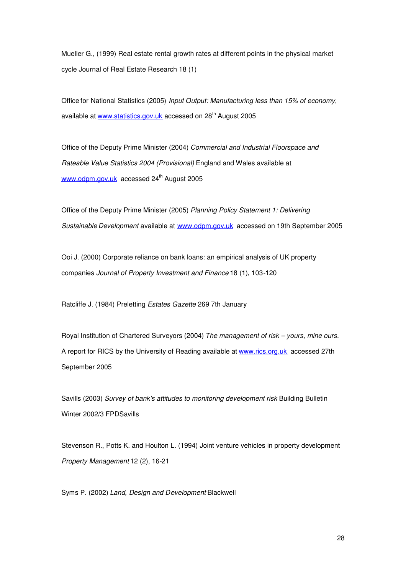Mueller G., (1999) Real estate rental growth rates at different points in the physical market cycle Journal of Real Estate Research 18 (1)

Office for National Statistics (2005) *Input Output: Manufacturing less than 15% of economy*, available at [www.statistics.gov.uk](http://www.statistics.gov.uk/) accessed on 28<sup>th</sup> August 2005

Office of the Deputy Prime Minister (2004) *Commercial and Industrial Floorspace and Rateable Value Statistics 2004 (Provisional)* England and Wales available at [www.odpm.gov.uk](http://www.odpm.gov.uk/) accessed 24<sup>th</sup> August 2005

Office of the Deputy Prime Minister (2005) *Planning Policy Statement 1: Delivering Sustainable Development* available at [www.odpm.gov.uk](http://www.odpm.gov.uk/) accessed on 19th September 2005

Ooi J. (2000) Corporate reliance on bank loans: an empirical analysis of UK property companies *Journal of Property Investment and Finance* 18 (1), 103-120

Ratcliffe J. (1984) Preletting *Estates Gazette* 269 7th January

Royal Institution of Chartered Surveyors (2004) *The management of risk – yours, mine ours*. A report for RICS by the University of Reading available at [www.rics.org.uk](http://www.rics.org.uk/) accessed 27th September 2005

Savills (2003) *Survey of bank's attitudes to monitoring development risk* Building Bulletin Winter 2002/3 FPDSavills

Stevenson R., Potts K. and Houlton L. (1994) Joint venture vehicles in property development *Property Management* 12 (2), 16-21

Syms P. (2002) *Land, Design and Development* Blackwell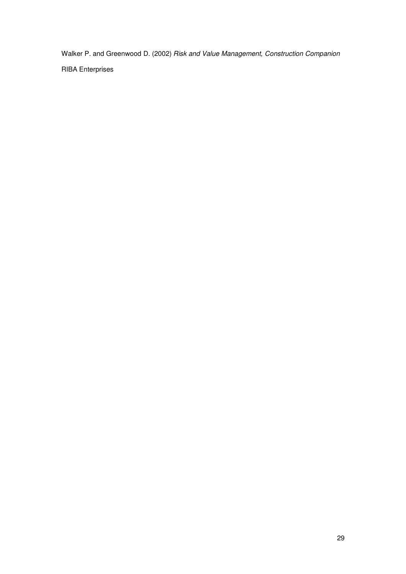Walker P. and Greenwood D. (2002) *Risk and Value Management, Construction Companion* RIBA Enterprises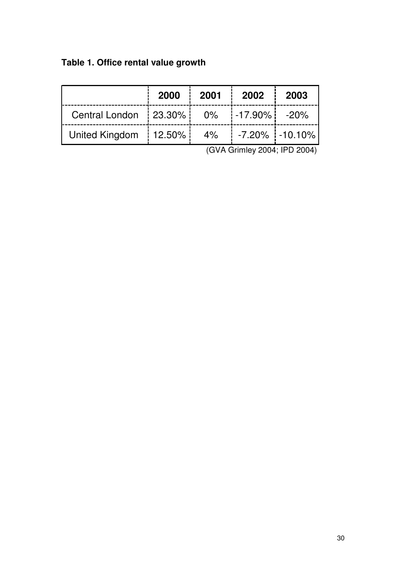# **Table 1. Office rental value growth**

|                                               | <b>2000</b> | $\frac{1}{2001}$ | $\frac{1}{2002}$            | $\frac{1}{2003}$ |
|-----------------------------------------------|-------------|------------------|-----------------------------|------------------|
| Central London   23.30%   0%   -17.90%   -20% |             |                  |                             |                  |
| United Kingdom   12.50%   4%                  |             |                  | <u>i</u> -7.20% i -10.10% l |                  |

(GVA Grimley 2004; IPD 2004)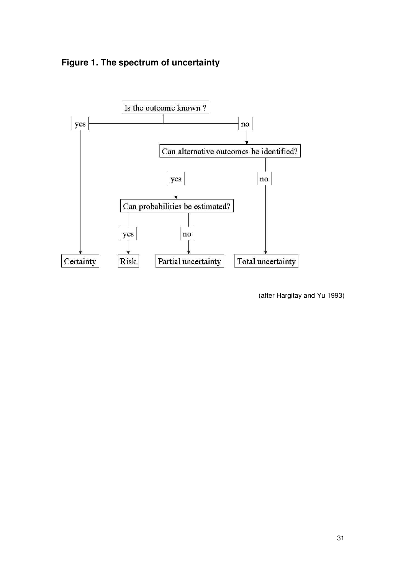



(after Hargitay and Yu 1993)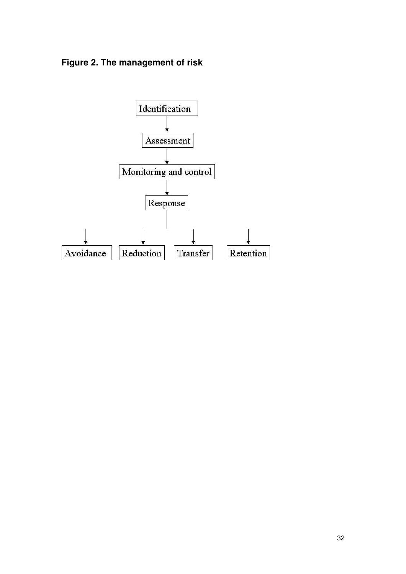# **Figure 2. The management of risk**

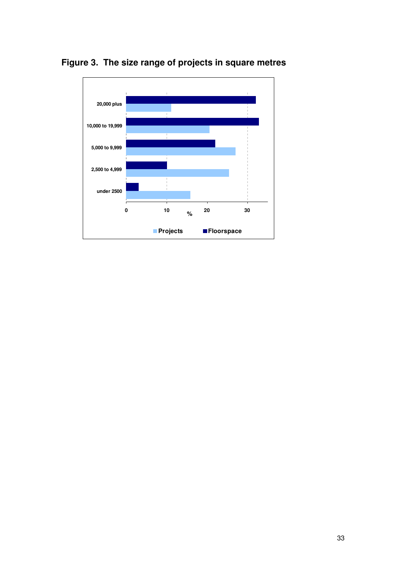

**Figure 3. The size range of projects in square metres**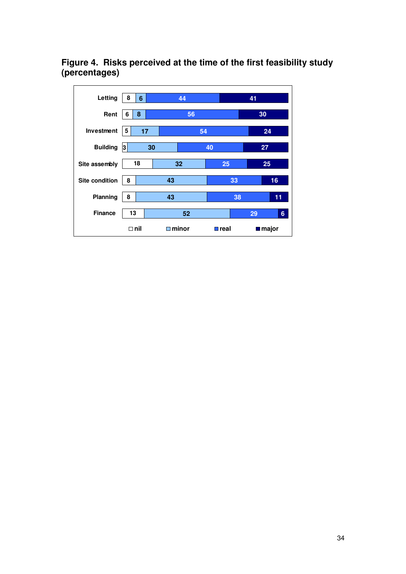# **Figure 4. Risks perceived at the time of the first feasibility study (percentages)**

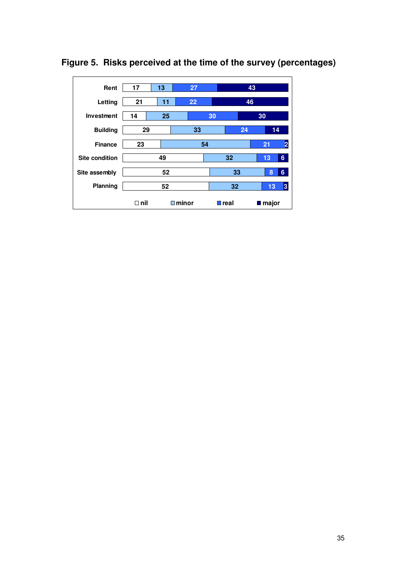| Rent                  | 17                                 | 13 | 27 |    | 43                  |    |       |   |
|-----------------------|------------------------------------|----|----|----|---------------------|----|-------|---|
| Letting               | 21<br>22<br>11                     |    |    |    | 46                  |    |       |   |
| Investment            | 14                                 | 25 |    | 30 |                     |    | 30    |   |
| <b>Building</b>       | 29                                 |    | 33 |    |                     | 24 | 14    |   |
| <b>Finance</b>        | 23                                 |    |    | 54 |                     |    | 21    |   |
| <b>Site condition</b> |                                    | 49 |    |    | 32                  |    | 13    | 6 |
| Site assembly         | 52                                 |    |    |    | 33                  |    | 8     | 6 |
| Planning              |                                    |    |    | 32 |                     | 13 | 13    |   |
|                       | $\blacksquare$ minor<br>$\Box$ nil |    |    |    | $\blacksquare$ real |    | major |   |

**Figure 5. Risks perceived at the time of the survey (percentages)**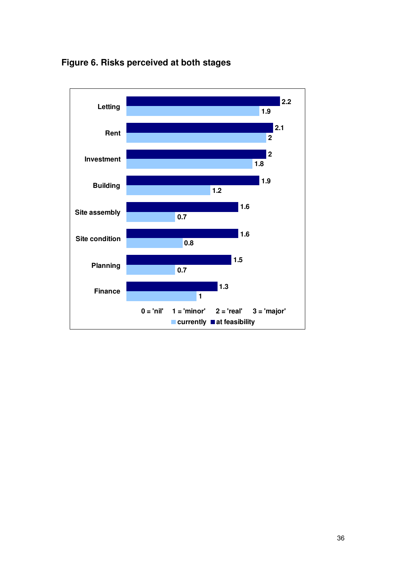

**Figure 6. Risks perceived at both stages**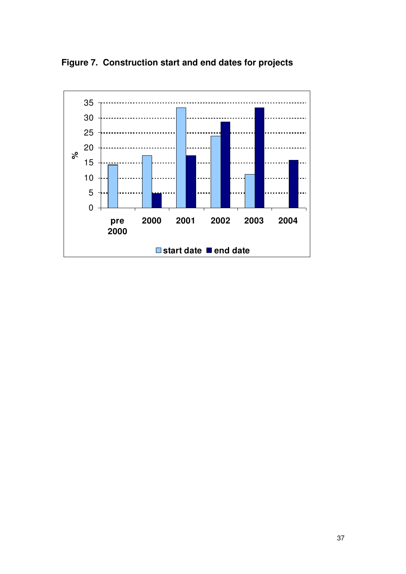**Figure 7. Construction start and end dates for projects**

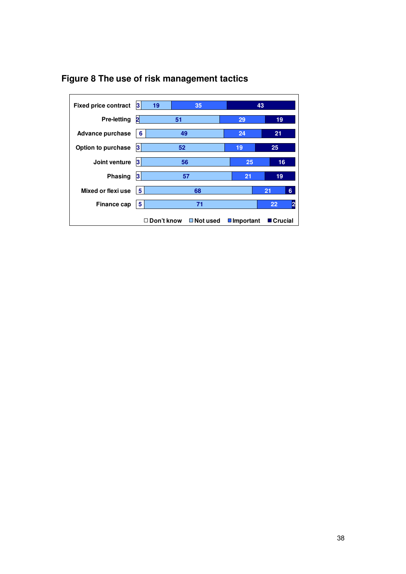# **Figure 8 The use of risk management tactics**

| <b>Fixed price contract</b> | 19<br> 3        | 35                |                          | 43        |  |  |  |
|-----------------------------|-----------------|-------------------|--------------------------|-----------|--|--|--|
| <b>Pre-letting</b>          | 2               | 51                | 29                       | 19        |  |  |  |
| <b>Advance purchase</b>     | 6               | 49                | 24                       | 21        |  |  |  |
| Option to purchase          | 3               | 52                | 19                       | 25        |  |  |  |
| Joint venture               | $\mathbf{3}$    | 56                | 25                       | 16        |  |  |  |
| Phasing                     | 13              | 57                | 21                       | 19        |  |  |  |
| Mixed or flexi use          | 5               | 68                |                          | 6<br>21   |  |  |  |
| <b>Finance cap</b>          | 5               | 71                |                          | 2<br>22   |  |  |  |
|                             | Don't know<br>□ | <b>■ Not used</b> | $\blacksquare$ Important | ■ Crucial |  |  |  |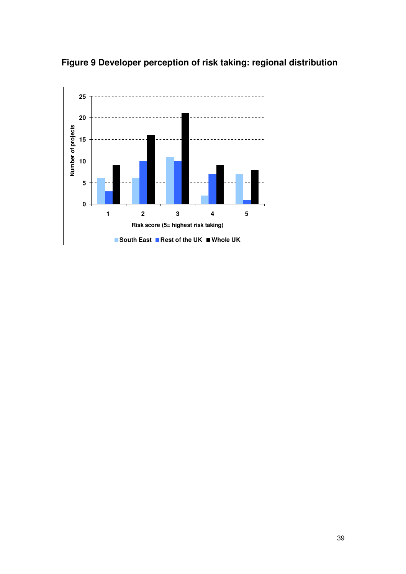

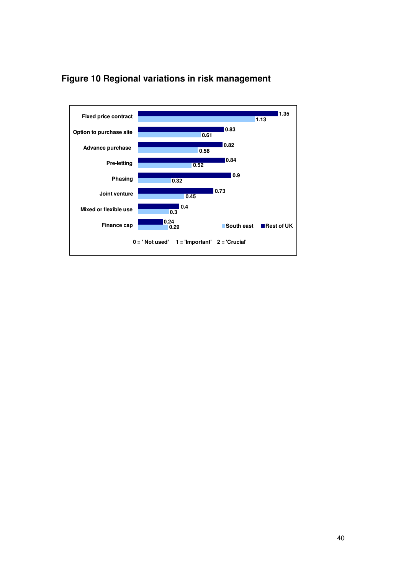

**0.29**

**0 = ' Not used' 1 = 'Important' 2 = 'Crucial'**

■ South east<br>**■ Rest of UK** 

**0.3**

**0.24**

**Finance cap**

# **Figure 10 Regional variations in risk management**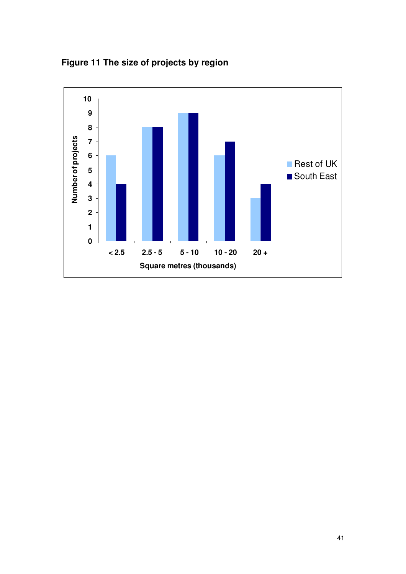**Figure 11 The size of projects by region**

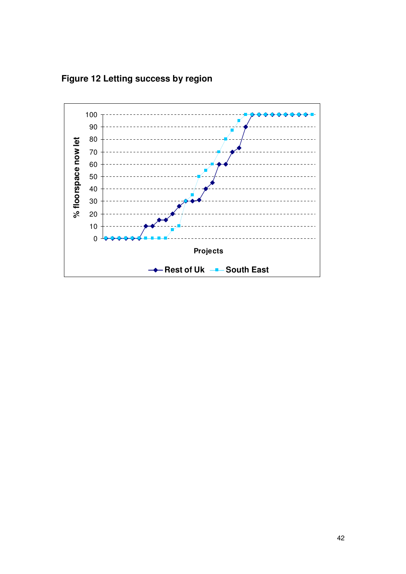**Figure 12 Letting success by region**

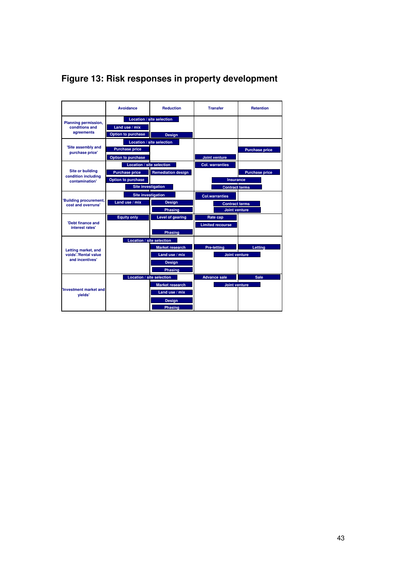

# **Figure 13: Risk responses in property development**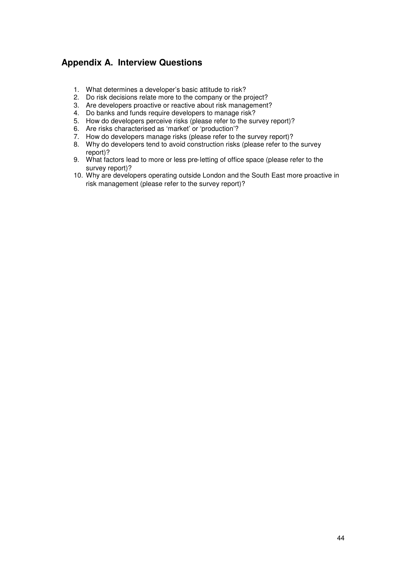# **Appendix A. Interview Questions**

- 1. What determines a developer's basic attitude to risk?
- 2. Do risk decisions relate more to the company or the project?
- 3. Are developers proactive or reactive about risk management?
- 4. Do banks and funds require developers to manage risk?
- 5. How do developers perceive risks (please refer to the survey report)?
- 6. Are risks characterised as 'market' or 'production'?
- 7. How do developers manage risks (please refer to the survey report)?
- 8. Why do developers tend to avoid construction risks (please refer to the survey report)?
- 9. What factors lead to more or less pre-letting of office space (please refer to the survey report)?
- 10. Why are developers operating outside London and the South East more proactive in risk management (please refer to the survey report)?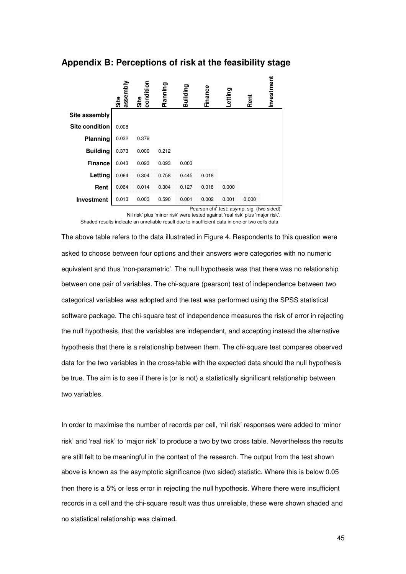|                       | assembly<br>Site | condition<br>Sie | Planning | Building | Finance | Letting | Rent  | Investment |
|-----------------------|------------------|------------------|----------|----------|---------|---------|-------|------------|
| Site assembly         |                  |                  |          |          |         |         |       |            |
| <b>Site condition</b> | 0.008            |                  |          |          |         |         |       |            |
| <b>Planning</b>       | 0.032            | 0.379            |          |          |         |         |       |            |
| <b>Building</b>       | 0.373            | 0.000            | 0.212    |          |         |         |       |            |
| <b>Finance</b>        | 0.043            | 0.093            | 0.093    | 0.003    |         |         |       |            |
| Letting               | 0.064            | 0.304            | 0.758    | 0.445    | 0.018   |         |       |            |
| Rent                  | 0.064            | 0.014            | 0.304    | 0.127    | 0.018   | 0.000   |       |            |
| <b>Investment</b>     | 0.013            | 0.003            | 0.590    | 0.001    | 0.002   | 0.001   | 0.000 |            |

### **Appendix B: Perceptions of risk at the feasibility stage**

Pearson chi<sup>2</sup> test: asymp. sig. (two sided) Nil risk' plus 'minor risk' were tested against 'real risk' plus 'major risk'.

Shaded results indicate an unreliable result due to insufficient data in one or two cells data

The above table refers to the data illustrated in Figure 4. Respondents to this question were asked to choose between four options and their answers were categories with no numeric equivalent and thus 'non-parametric'. The null hypothesis was that there was no relationship between one pair of variables. The chi-square (pearson) test of independence between two categorical variables was adopted and the test was performed using the SPSS statistical software package. The chi-square test of independence measures the risk of error in rejecting the null hypothesis, that the variables are independent, and accepting instead the alternative hypothesis that there is a relationship between them. The chi-square test compares observed data for the two variables in the cross-table with the expected data should the null hypothesis be true. The aim is to see if there is (or is not) a statistically significant relationship between two variables.

In order to maximise the number of records per cell, 'nil risk' responses were added to 'minor risk' and 'real risk' to 'major risk' to produce a two by two cross table. Nevertheless the results are still felt to be meaningful in the context of the research. The output from the test shown above is known as the asymptotic significance (two sided) statistic. Where this is below 0.05 then there is a 5% or less error in rejecting the null hypothesis. Where there were insufficient records in a cell and the chi-square result was thus unreliable, these were shown shaded and no statistical relationship was claimed.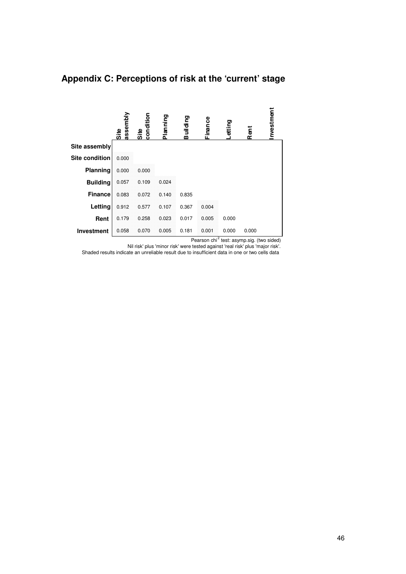

# **Appendix C: Perceptions of risk at the 'current' stage**

Pearson chi<sup>2</sup> test: asymp.sig. (two sided)

Shaded results indicate an unreliable result due to insufficient data in one or two cells data Nil risk' plus 'minor risk' were tested against 'real risk' plus 'major risk'.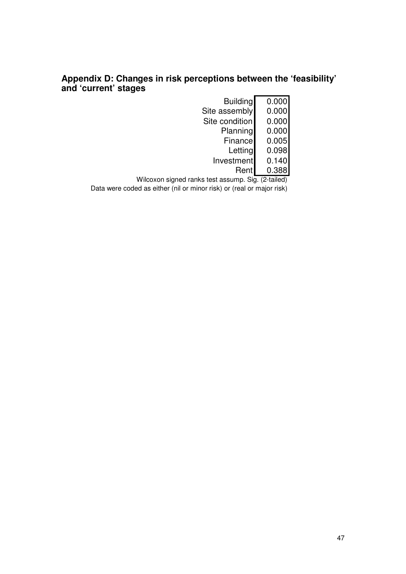#### **Appendix D: Changes in risk perceptions between the 'feasibility' and 'current' stages**  $\overline{a}$

| <b>Building</b> | 0.000 |
|-----------------|-------|
| Site assembly   | 0.000 |
| Site condition  | 0.000 |
| Planning        | 0.000 |
| Finance         | 0.005 |
| Letting         | 0.098 |
| Investment      | 0.140 |
| Rent            | 0.388 |

Wilcoxon signed ranks test assump. Sig. (2-tailed)

Data were coded as either (nil or minor risk) or (real or major risk)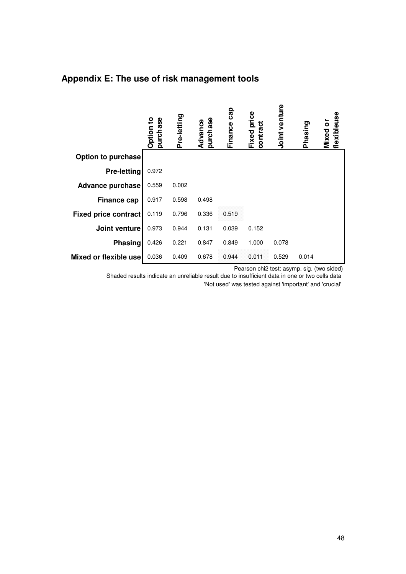| Appendix E: The use of risk management tools |
|----------------------------------------------|
|----------------------------------------------|

|                             | Option to<br>8<br>purcha | Pre-letting | purchase<br><b>Advance</b> | cap<br>Finance | price<br>contract<br>Fixed <sub>1</sub> | Joint venture | Phasing | flexibleuse<br>Mixed or |
|-----------------------------|--------------------------|-------------|----------------------------|----------------|-----------------------------------------|---------------|---------|-------------------------|
| Option to purchase          |                          |             |                            |                |                                         |               |         |                         |
| Pre-letting                 | 0.972                    |             |                            |                |                                         |               |         |                         |
| Advance purchase            | 0.559                    | 0.002       |                            |                |                                         |               |         |                         |
| <b>Finance cap</b>          | 0.917                    | 0.598       | 0.498                      |                |                                         |               |         |                         |
| <b>Fixed price contract</b> | 0.119                    | 0.796       | 0.336                      | 0.519          |                                         |               |         |                         |
| Joint venture               | 0.973                    | 0.944       | 0.131                      | 0.039          | 0.152                                   |               |         |                         |
| Phasing                     | 0.426                    | 0.221       | 0.847                      | 0.849          | 1.000                                   | 0.078         |         |                         |
| Mixed or flexible use       | 0.036                    | 0.409       | 0.678                      | 0.944          | 0.011                                   | 0.529         | 0.014   |                         |

Pearson chi2 test: asymp. sig. (two sided)

Shaded results indicate an unreliable result due to insufficient data in one or two cells data 'Not used' was tested against 'important' and 'crucial'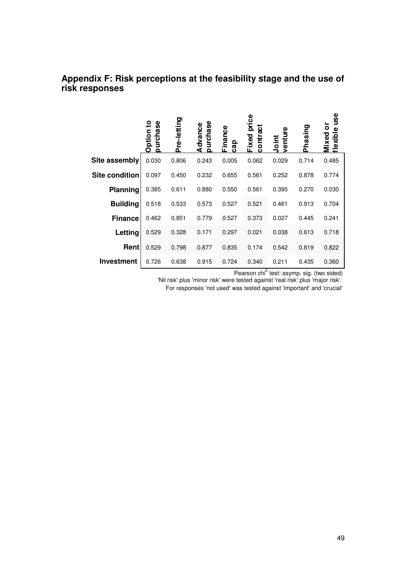|                       | <u>۽</u><br>$\bf{e}$<br>Option<br>purcha | Pre-letting | urchase<br>Advance<br>$\overline{\mathbf{o}}$ | inance<br>cap<br>щ | price<br>contract<br><b>Fixed</b> | enture<br>Joint | Phasing | <b>JSe</b><br>Mixed or<br>flexible u |
|-----------------------|------------------------------------------|-------------|-----------------------------------------------|--------------------|-----------------------------------|-----------------|---------|--------------------------------------|
| Site assembly         | 0.030                                    | 0.806       | 0.243                                         | 0.005              | 0.062                             | 0.029           | 0.714   | 0.485                                |
| <b>Site condition</b> | 0.097                                    | 0.450       | 0.232                                         | 0.655              | 0.561                             | 0.252           | 0.878   | 0.774                                |
| <b>Planning</b>       | 0.385                                    | 0.611       | 0.880                                         | 0.550              | 0.561                             | 0.395           | 0.270   | 0.030                                |
| <b>Building</b>       | 0.518                                    | 0.533       | 0.573                                         | 0.527              | 0.521                             | 0.461           | 0.913   | 0.704                                |
| <b>Finance</b>        | 0.462                                    | 0.851       | 0.779                                         | 0.527              | 0.373                             | 0.027           | 0.445   | 0.241                                |
| Letting               | 0.529                                    | 0.328       | 0.171                                         | 0.297              | 0.021                             | 0.038           | 0.613   | 0.718                                |
| Rent                  | 0.529                                    | 0.798       | 0.877                                         | 0.835              | 0.174                             | 0.542           | 0.819   | 0.822                                |
| <b>Investment</b>     | 0.726                                    | 0.638       | 0.915                                         | 0.724              | 0.340                             | 0.211           | 0.435   | 0.360                                |

# **Appendix F: Risk perceptions at the feasibility stage and the use of risk responses**

Pearson chi<sup>2</sup> test: asymp. sig. (two sided)

'Nil risk' plus 'minor risk' were tested against 'real risk' plus 'major risk'.

For responses 'not used' was tested against 'important' and 'crucial'